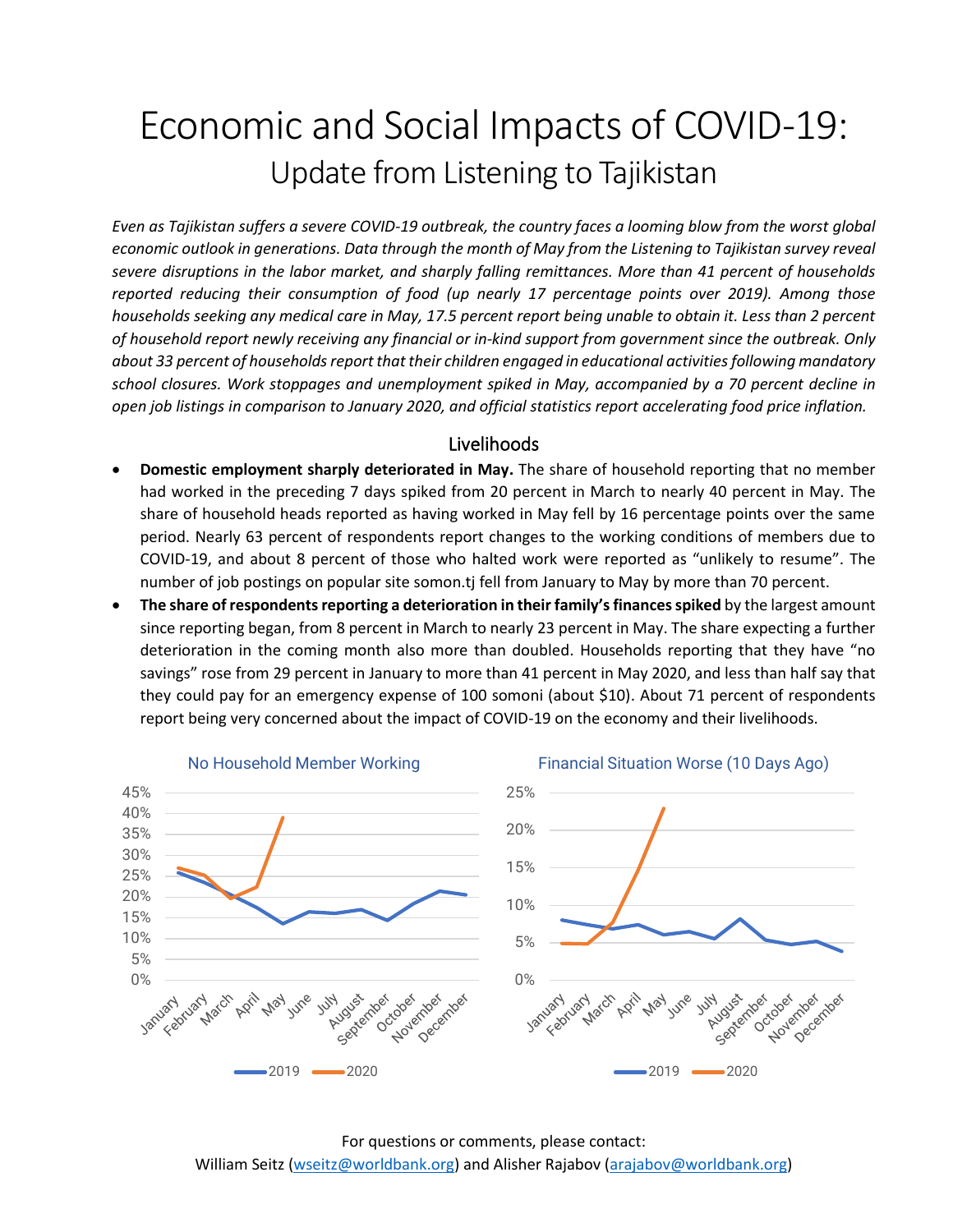# Economic and Social Impacts of COVID-19: Update from Listening to Tajikistan

*Even as Tajikistan suffers a severe COVID-19 outbreak, the country faces a looming blow from the worst global economic outlook in generations. Data through the month of May from the Listening to Tajikistan survey reveal severe disruptions in the labor market, and sharply falling remittances. More than 41 percent of households reported reducing their consumption of food (up nearly 17 percentage points over 2019). Among those households seeking any medical care in May, 17.5 percent report being unable to obtain it. Less than 2 percent of household report newly receiving any financial or in-kind support from government since the outbreak. Only about 33 percent of households report that their children engaged in educational activities following mandatory school closures. Work stoppages and unemployment spiked in May, accompanied by a 70 percent decline in open job listings in comparison to January 2020, and official statistics report accelerating food price inflation.*

#### Livelihoods

- **Domestic employment sharply deteriorated in May.** The share of household reporting that no member had worked in the preceding 7 days spiked from 20 percent in March to nearly 40 percent in May. The share of household heads reported as having worked in May fell by 16 percentage points over the same period. Nearly 63 percent of respondents report changes to the working conditions of members due to COVID-19, and about 8 percent of those who halted work were reported as "unlikely to resume". The number of job postings on popular site somon.tj fell from January to May by more than 70 percent.
- **The share of respondents reporting a deterioration in their family's financesspiked** by the largest amount since reporting began, from 8 percent in March to nearly 23 percent in May. The share expecting a further deterioration in the coming month also more than doubled. Households reporting that they have "no savings" rose from 29 percent in January to more than 41 percent in May 2020, and less than half say that they could pay for an emergency expense of 100 somoni (about \$10). About 71 percent of respondents report being very concerned about the impact of COVID-19 on the economy and their livelihoods.

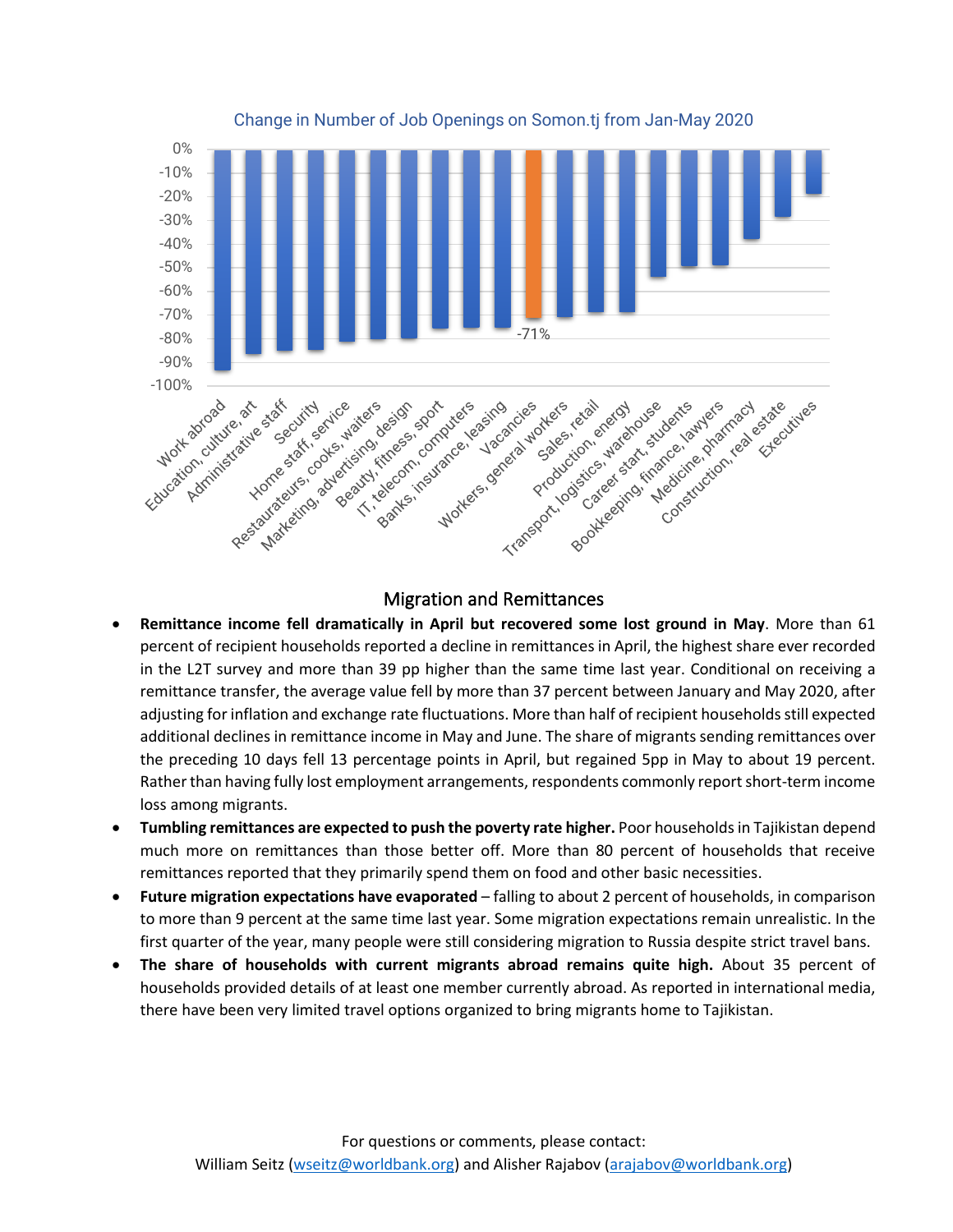

Change in Number of Job Openings on Somon.tj from Jan-May 2020

### Migration and Remittances

- **Remittance income fell dramatically in April but recovered some lost ground in May**. More than 61 percent of recipient households reported a decline in remittances in April, the highest share ever recorded in the L2T survey and more than 39 pp higher than the same time last year. Conditional on receiving a remittance transfer, the average value fell by more than 37 percent between January and May 2020, after adjusting for inflation and exchange rate fluctuations. More than half of recipient householdsstill expected additional declines in remittance income in May and June. The share of migrants sending remittances over the preceding 10 days fell 13 percentage points in April, but regained 5pp in May to about 19 percent. Rather than having fully lost employment arrangements, respondents commonly report short-term income loss among migrants.
- **Tumbling remittances are expected to push the poverty rate higher.** Poor households in Tajikistan depend much more on remittances than those better off. More than 80 percent of households that receive remittances reported that they primarily spend them on food and other basic necessities.
- **Future migration expectations have evaporated** falling to about 2 percent of households, in comparison to more than 9 percent at the same time last year. Some migration expectations remain unrealistic. In the first quarter of the year, many people were still considering migration to Russia despite strict travel bans.
- **The share of households with current migrants abroad remains quite high.** About 35 percent of households provided details of at least one member currently abroad. As reported in international media, there have been very limited travel options organized to bring migrants home to Tajikistan.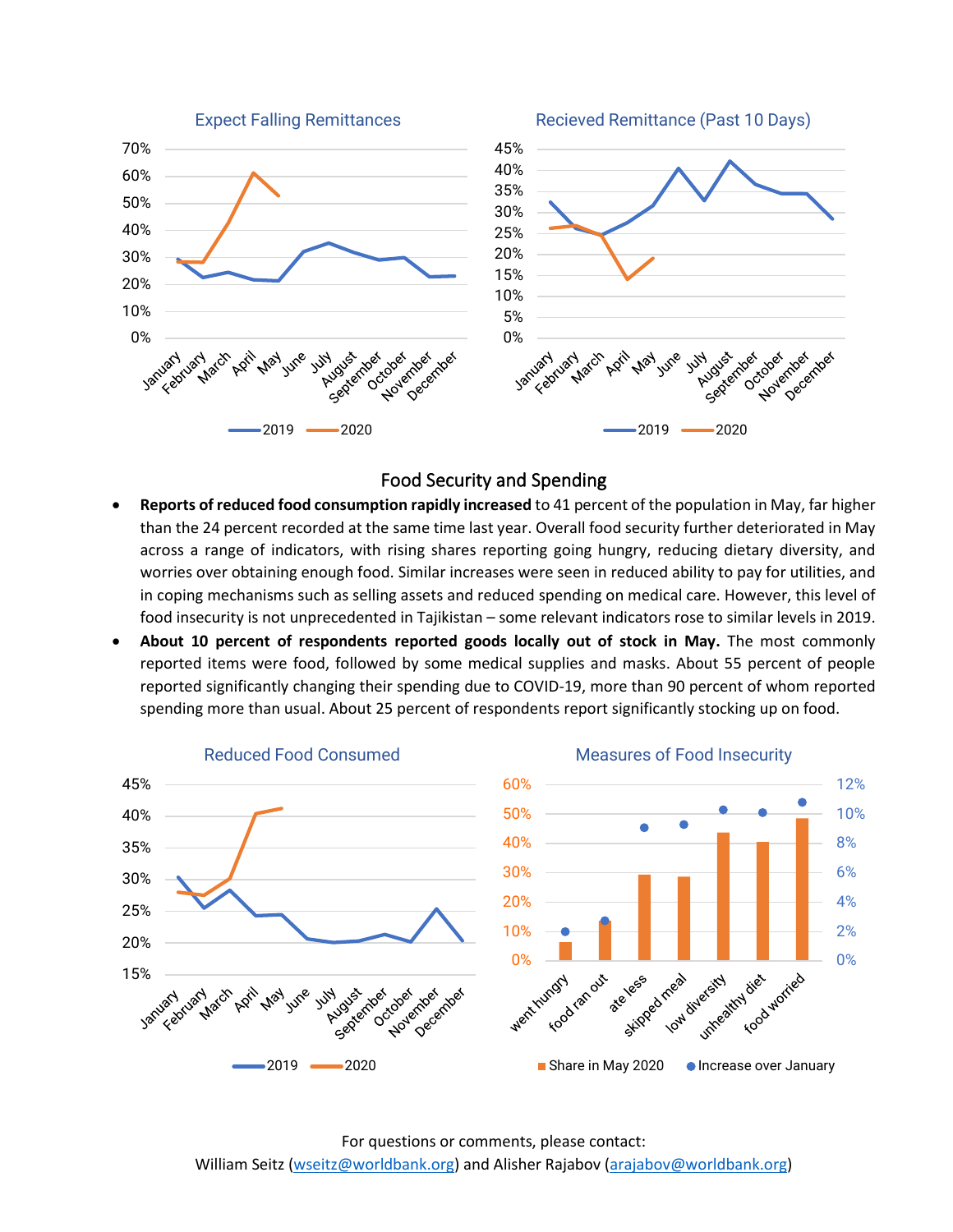

#### Food Security and Spending

- **Reports of reduced food consumption rapidly increased** to 41 percent of the population in May, far higher than the 24 percent recorded at the same time last year. Overall food security further deteriorated in May across a range of indicators, with rising shares reporting going hungry, reducing dietary diversity, and worries over obtaining enough food. Similar increases were seen in reduced ability to pay for utilities, and in coping mechanisms such as selling assets and reduced spending on medical care. However, this level of food insecurity is not unprecedented in Tajikistan – some relevant indicators rose to similar levels in 2019.
- **About 10 percent of respondents reported goods locally out of stock in May.** The most commonly reported items were food, followed by some medical supplies and masks. About 55 percent of people reported significantly changing their spending due to COVID-19, more than 90 percent of whom reported spending more than usual. About 25 percent of respondents report significantly stocking up on food.



For questions or comments, please contact: William Seitz [\(wseitz@worldbank.org\)](mailto:wseitz@worldbank.org) and Alisher Rajabov [\(arajabov@worldbank.org\)](mailto:arajabov@worldbank.org)